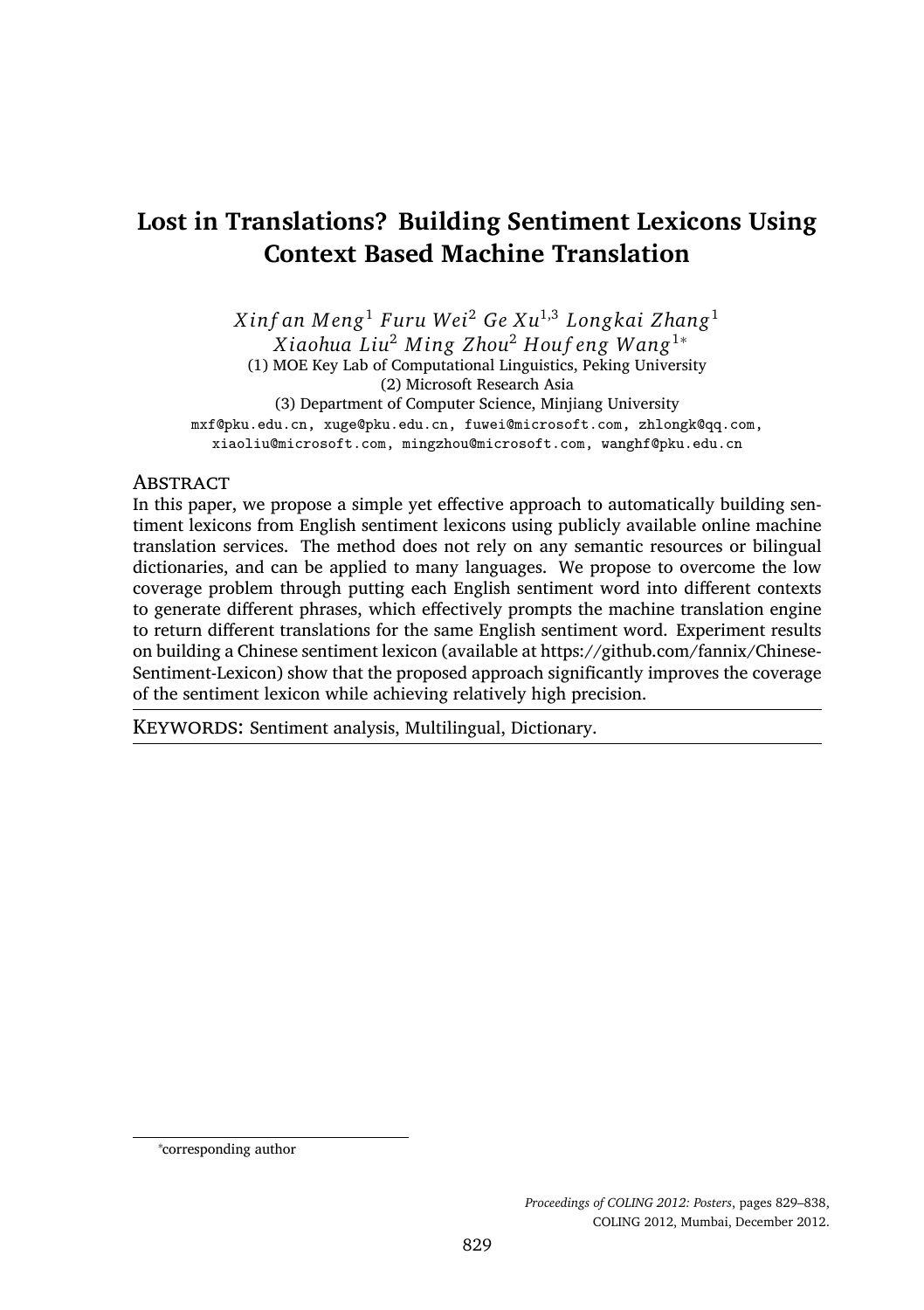# **Lost in Translations? Building Sentiment Lexicons Using Context Based Machine Translation**

*X inf an M eng*<sup>1</sup> *Furu Wei*<sup>2</sup> *Ge X u*1,3 *Longkai Zhang*<sup>1</sup> *X iaohua Liu*<sup>2</sup> *Ming Zhou*<sup>2</sup> *H ouf eng Wang*<sup>1</sup><sup>∗</sup> (1) MOE Key Lab of Computational Linguistics, Peking University (2) Microsoft Research Asia (3) Department of Computer Science, Minjiang University mxf@pku.edu.cn, xuge@pku.edu.cn, fuwei@microsoft.com, zhlongk@qq.com, xiaoliu@microsoft.com, mingzhou@microsoft.com, wanghf@pku.edu.cn

#### **ABSTRACT**

In this paper, we propose a simple yet efective approach to automatically building sentiment lexicons from English sentiment lexicons using publicly available online machine translation services. The method does not rely on any semantic resources or bilingual dictionaries, and can be applied to many languages. We propose to overcome the low coverage problem through putting each English sentiment word into diferent contexts to generate diferent phrases, which efectively prompts the machine translation engine to return diferent translations for the same English sentiment word. Experiment results on building a Chinese sentiment lexicon (available at https://github.com/fannix/Chinese-Sentiment-Lexicon) show that the proposed approach signiicantly improves the coverage of the sentiment lexicon while achieving relatively high precision.

KEYWORDS: Sentiment analysis, Multilingual, Dictionary.

<sup>∗</sup>corresponding author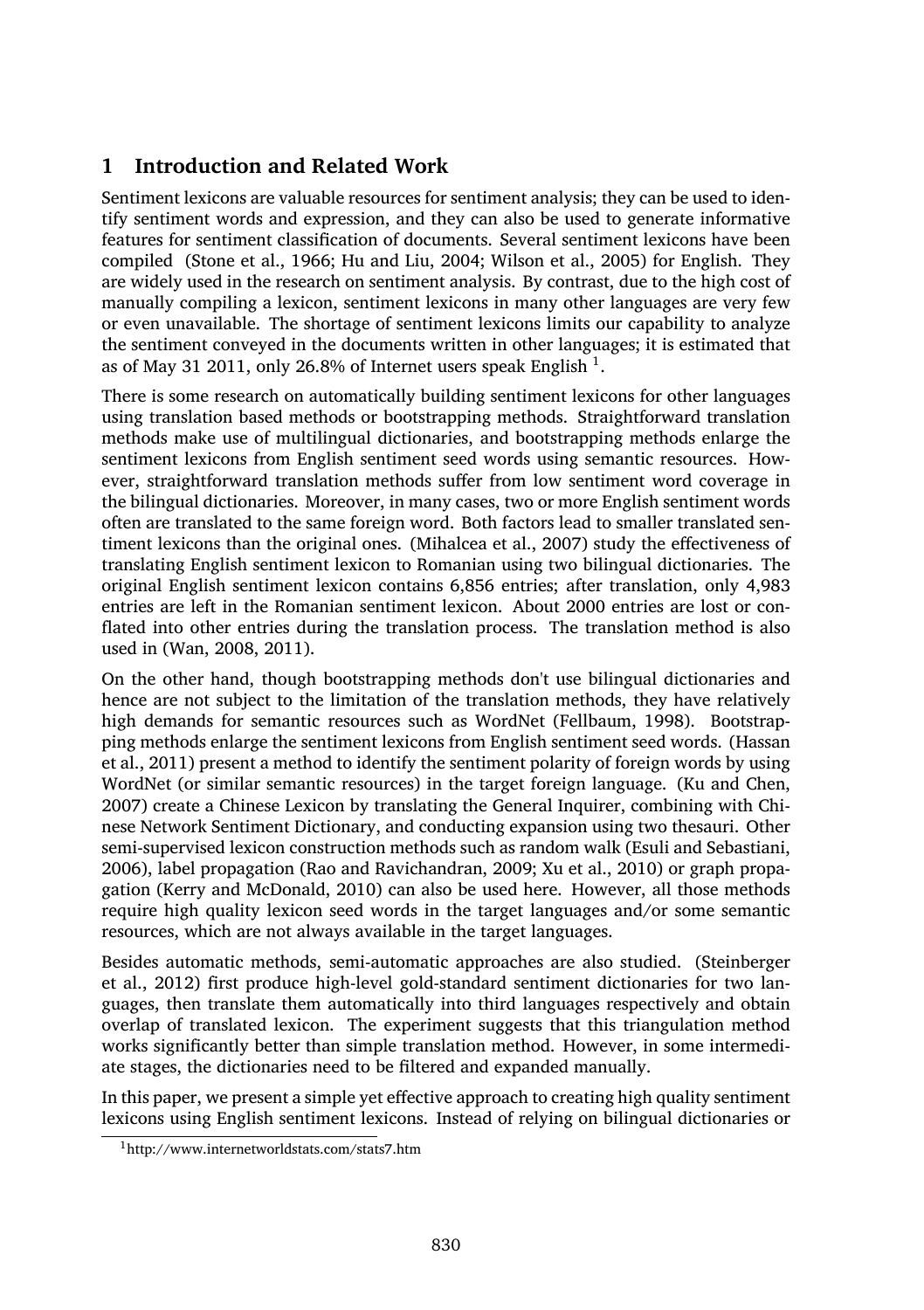# **1 Introduction and Related Work**

Sentiment lexicons are valuable resources for sentiment analysis; they can be used to identify sentiment words and expression, and they can also be used to generate informative features for sentiment classiication of documents. Several sentiment lexicons have been compiled (Stone et al., 1966; Hu and Liu, 2004; Wilson et al., 2005) for English. They are widely used in the research on sentiment analysis. By contrast, due to the high cost of manually compiling a lexicon, sentiment lexicons in many other languages are very few or even unavailable. The shortage of sentiment lexicons limits our capability to analyze the sentiment conveyed in the documents written in other languages; it is estimated that as of May 31 2011, only 26.8% of Internet users speak English  $^1$ .

There is some research on automatically building sentiment lexicons for other languages using translation based methods or bootstrapping methods. Straightforward translation methods make use of multilingual dictionaries, and bootstrapping methods enlarge the sentiment lexicons from English sentiment seed words using semantic resources. However, straightforward translation methods suffer from low sentiment word coverage in the bilingual dictionaries. Moreover, in many cases, two or more English sentiment words often are translated to the same foreign word. Both factors lead to smaller translated sentiment lexicons than the original ones. (Mihalcea et al., 2007) study the efectiveness of translating English sentiment lexicon to Romanian using two bilingual dictionaries. The original English sentiment lexicon contains 6,856 entries; after translation, only 4,983 entries are left in the Romanian sentiment lexicon. About 2000 entries are lost or conflated into other entries during the translation process. The translation method is also used in (Wan, 2008, 2011).

On the other hand, though bootstrapping methods don't use bilingual dictionaries and hence are not subject to the limitation of the translation methods, they have relatively high demands for semantic resources such as WordNet (Fellbaum, 1998). Bootstrapping methods enlarge the sentiment lexicons from English sentiment seed words. (Hassan et al., 2011) present a method to identify the sentiment polarity of foreign words by using WordNet (or similar semantic resources) in the target foreign language. (Ku and Chen, 2007) create a Chinese Lexicon by translating the General Inquirer, combining with Chinese Network Sentiment Dictionary, and conducting expansion using two thesauri. Other semi-supervised lexicon construction methods such as random walk (Esuli and Sebastiani, 2006), label propagation (Rao and Ravichandran, 2009; Xu et al., 2010) or graph propagation (Kerry and McDonald, 2010) can also be used here. However, all those methods require high quality lexicon seed words in the target languages and/or some semantic resources, which are not always available in the target languages.

Besides automatic methods, semi-automatic approaches are also studied. (Steinberger et al., 2012) first produce high-level gold-standard sentiment dictionaries for two languages, then translate them automatically into third languages respectively and obtain overlap of translated lexicon. The experiment suggests that this triangulation method works significantly better than simple translation method. However, in some intermediate stages, the dictionaries need to be filtered and expanded manually.

In this paper, we present a simple yet efective approach to creating high quality sentiment lexicons using English sentiment lexicons. Instead of relying on bilingual dictionaries or

<sup>1</sup>http://www.internetworldstats.com/stats7.htm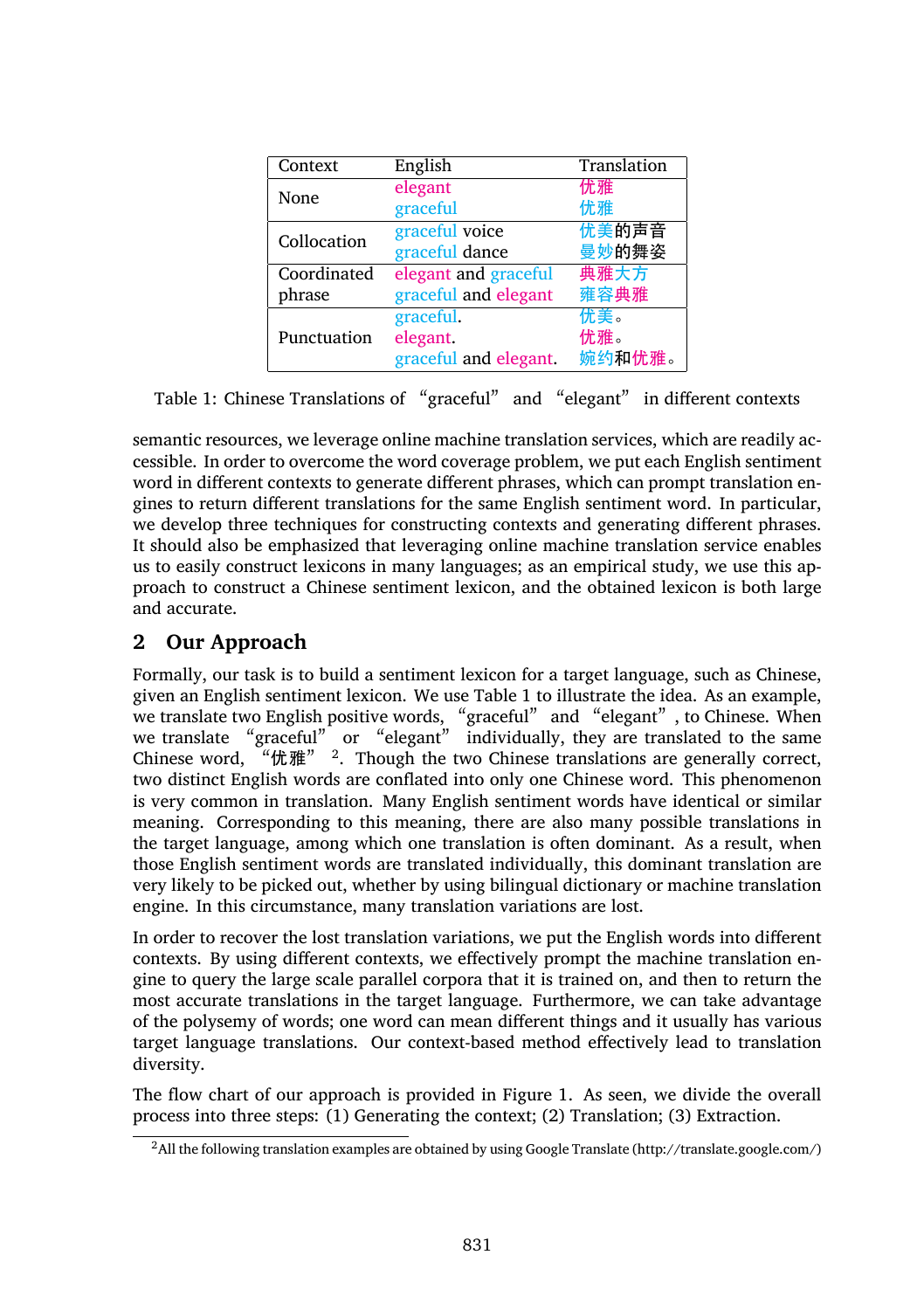| Context     | English               | Translation |
|-------------|-----------------------|-------------|
| None        | elegant               | 优雅          |
|             | graceful              | 优雅          |
| Collocation | graceful voice        | 优美的声音       |
|             | graceful dance        | 曼妙的舞姿       |
| Coordinated | elegant and graceful  | 典雅大方        |
| phrase      | graceful and elegant  | 雍容典雅        |
|             | graceful.             | 优美。         |
| Punctuation | elegant.              | 优雅。         |
|             | graceful and elegant. | 婉约和优雅。      |

Table 1: Chinese Translations of "graceful" and "elegant" in diferent contexts

semantic resources, we leverage online machine translation services, which are readily accessible. In order to overcome the word coverage problem, we put each English sentiment word in diferent contexts to generate diferent phrases, which can prompt translation engines to return diferent translations for the same English sentiment word. In particular, we develop three techniques for constructing contexts and generating diferent phrases. It should also be emphasized that leveraging online machine translation service enables us to easily construct lexicons in many languages; as an empirical study, we use this approach to construct a Chinese sentiment lexicon, and the obtained lexicon is both large and accurate.

### **2 Our Approach**

Formally, our task is to build a sentiment lexicon for a target language, such as Chinese, given an English sentiment lexicon. We use Table 1 to illustrate the idea. As an example, we translate two English positive words, "graceful" and "elegant", to Chinese. When we translate "graceful" or "elegant" individually, they are translated to the same Chinese word, "优雅"  $\frac{3}{2}$ . Though the two Chinese translations are generally correct, two distinct English words are conflated into only one Chinese word. This phenomenon is very common in translation. Many English sentiment words have identical or similar meaning. Corresponding to this meaning, there are also many possible translations in the target language, among which one translation is often dominant. As a result, when those English sentiment words are translated individually, this dominant translation are very likely to be picked out, whether by using bilingual dictionary or machine translation engine. In this circumstance, many translation variations are lost.

In order to recover the lost translation variations, we put the English words into diferent contexts. By using diferent contexts, we efectively prompt the machine translation engine to query the large scale parallel corpora that it is trained on, and then to return the most accurate translations in the target language. Furthermore, we can take advantage of the polysemy of words; one word can mean diferent things and it usually has various target language translations. Our context-based method efectively lead to translation diversity.

The flow chart of our approach is provided in Figure 1. As seen, we divide the overall process into three steps: (1) Generating the context; (2) Translation; (3) Extraction.

 $^{2}$ All the following translation examples are obtained by using Google Translate (http://translate.google.com/)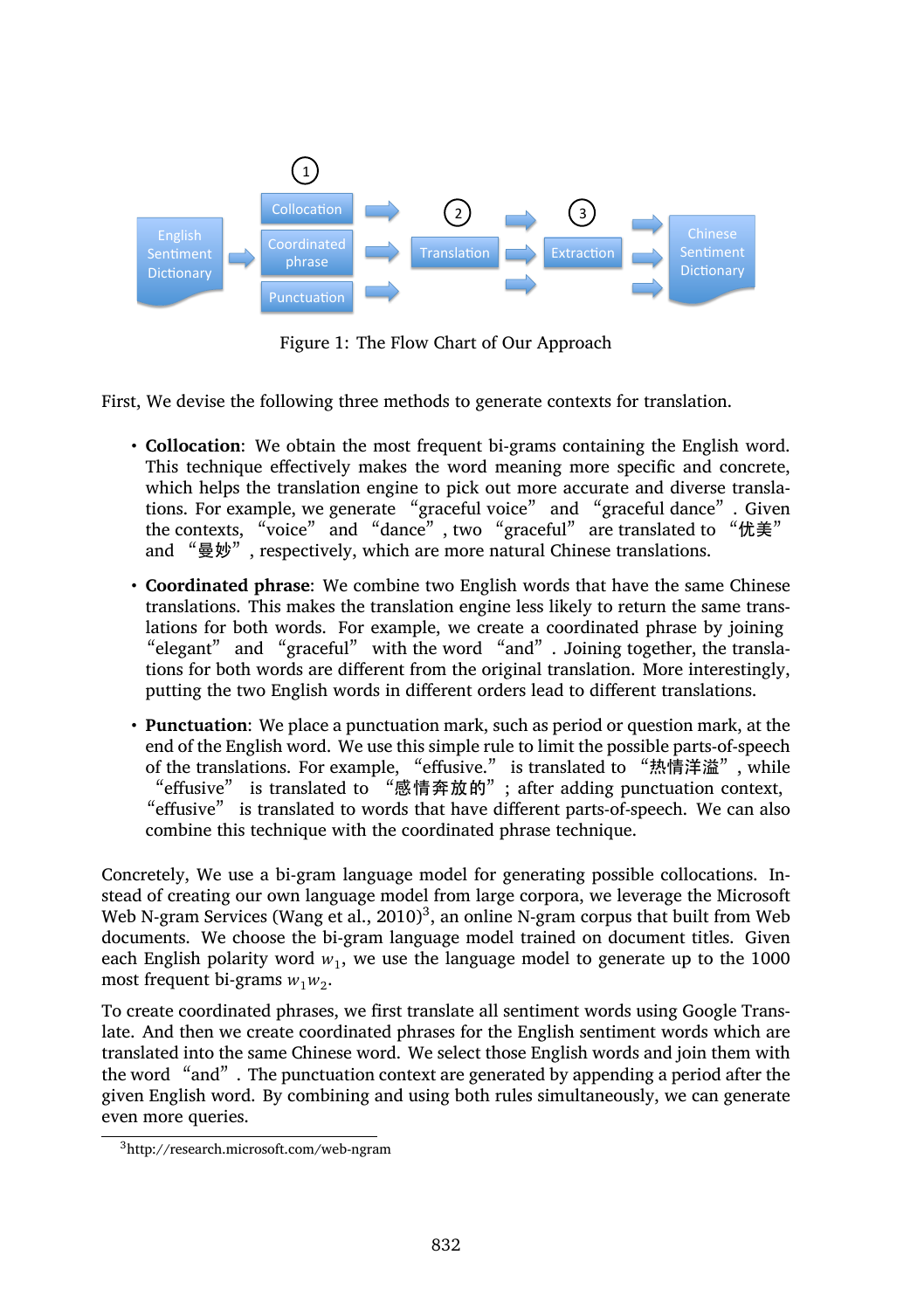

Figure 1: The Flow Chart of Our Approach

First, We devise the following three methods to generate contexts for translation.

- **Collocation**: We obtain the most frequent bi-grams containing the English word. This technique efectively makes the word meaning more speciic and concrete, which helps the translation engine to pick out more accurate and diverse translations. For example, we generate "graceful voice" and "graceful dance". Given the contexts, "voice" and "dance", two "graceful" are translated to "优美" and "曼妙", respectively, which are more natural Chinese translations.
- **Coordinated phrase**: We combine two English words that have the same Chinese translations. This makes the translation engine less likely to return the same translations for both words. For example, we create a coordinated phrase by joining "elegant" and "graceful" with the word "and". Joining together, the translations for both words are diferent from the original translation. More interestingly, putting the two English words in diferent orders lead to diferent translations.
- **Punctuation**: We place a punctuation mark, such as period or question mark, at the end of the English word. We use this simple rule to limit the possible parts-of-speech of the translations. For example, "effusive." is translated to "热情洋溢", while "efusive" is translated to "感情奔放的"; after adding punctuation context, "effusive" is translated to words that have different parts-of-speech. We can also combine this technique with the coordinated phrase technique.

Concretely, We use a bi-gram language model for generating possible collocations. Instead of creating our own language model from large corpora, we leverage the Microsoft Web N-gram Services (Wang et al., 2010) $^3$ , an online N-gram corpus that built from Web documents. We choose the bi-gram language model trained on document titles. Given each English polarity word  $w_1$ , we use the language model to generate up to the 1000 most frequent bi-grams  $w_1w_2$ .

To create coordinated phrases, we irst translate all sentiment words using Google Translate. And then we create coordinated phrases for the English sentiment words which are translated into the same Chinese word. We select those English words and join them with the word "and". The punctuation context are generated by appending a period after the given English word. By combining and using both rules simultaneously, we can generate even more queries.

<sup>3</sup>http://research.microsoft.com/web-ngram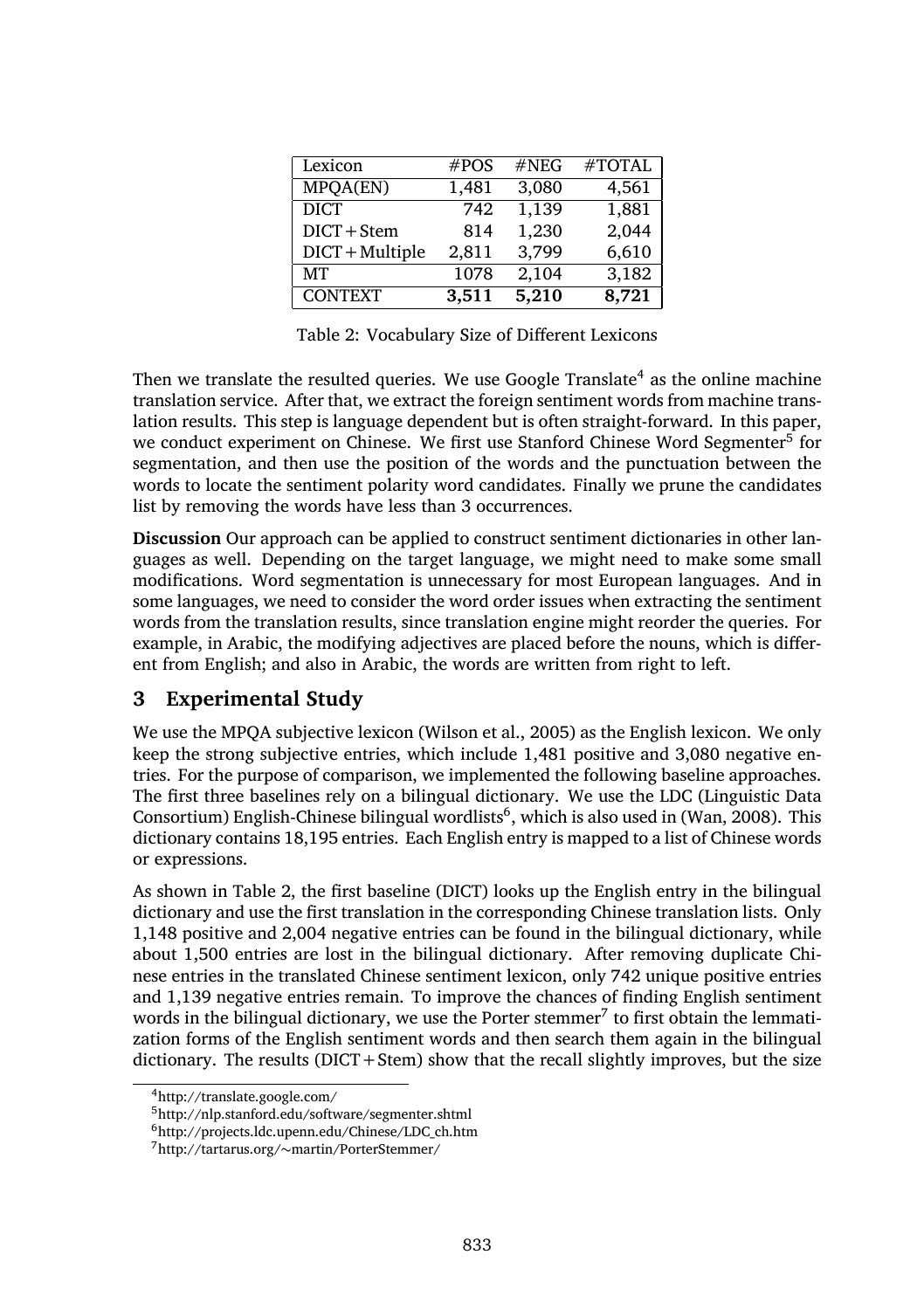| Lexicon           | #POS  | #NEG  | #TOTAL |
|-------------------|-------|-------|--------|
| MPOA(EN)          | 1,481 | 3,080 | 4,561  |
| <b>DICT</b>       | 742   | 1,139 | 1,881  |
| DICT + Stem       | 814   | 1,230 | 2,044  |
| $DICT + Multiple$ | 2,811 | 3.799 | 6,610  |
| <b>MT</b>         | 1078  | 2,104 | 3,182  |
| <b>CONTEXT</b>    | 3,511 | 5,210 | 8,721  |

Table 2: Vocabulary Size of Diferent Lexicons

Then we translate the resulted queries. We use Google Translate<sup>4</sup> as the online machine translation service. After that, we extract the foreign sentiment words from machine translation results. This step is language dependent but is often straight-forward. In this paper, we conduct experiment on Chinese. We first use Stanford Chinese Word Segmenter<sup>5</sup> for segmentation, and then use the position of the words and the punctuation between the words to locate the sentiment polarity word candidates. Finally we prune the candidates list by removing the words have less than 3 occurrences.

**Discussion** Our approach can be applied to construct sentiment dictionaries in other languages as well. Depending on the target language, we might need to make some small modifications. Word segmentation is unnecessary for most European languages. And in some languages, we need to consider the word order issues when extracting the sentiment words from the translation results, since translation engine might reorder the queries. For example, in Arabic, the modifying adjectives are placed before the nouns, which is diferent from English; and also in Arabic, the words are written from right to left.

### **3 Experimental Study**

We use the MPQA subjective lexicon (Wilson et al., 2005) as the English lexicon. We only keep the strong subjective entries, which include 1,481 positive and 3,080 negative entries. For the purpose of comparison, we implemented the following baseline approaches. The first three baselines rely on a bilingual dictionary. We use the LDC (Linguistic Data Consortium) English-Chinese bilingual wordlists<sup>6</sup>, which is also used in (Wan, 2008). This dictionary contains 18,195 entries. Each English entry is mapped to a list of Chinese words or expressions.

As shown in Table 2, the irst baseline (DICT) looks up the English entry in the bilingual dictionary and use the irst translation in the corresponding Chinese translation lists. Only 1,148 positive and 2,004 negative entries can be found in the bilingual dictionary, while about 1,500 entries are lost in the bilingual dictionary. After removing duplicate Chinese entries in the translated Chinese sentiment lexicon, only 742 unique positive entries and 1,139 negative entries remain. To improve the chances of inding English sentiment words in the bilingual dictionary, we use the Porter stemmer<sup>7</sup> to first obtain the lemmatization forms of the English sentiment words and then search them again in the bilingual dictionary. The results ( $DICT + Stem$ ) show that the recall slightly improves, but the size

<sup>4</sup>http://translate.google.com/

<sup>5</sup>http://nlp.stanford.edu/software/segmenter.shtml

<sup>6</sup>http://projects.ldc.upenn.edu/Chinese/LDC\_ch.htm

<sup>7</sup>http://tartarus.org/∼martin/PorterStemmer/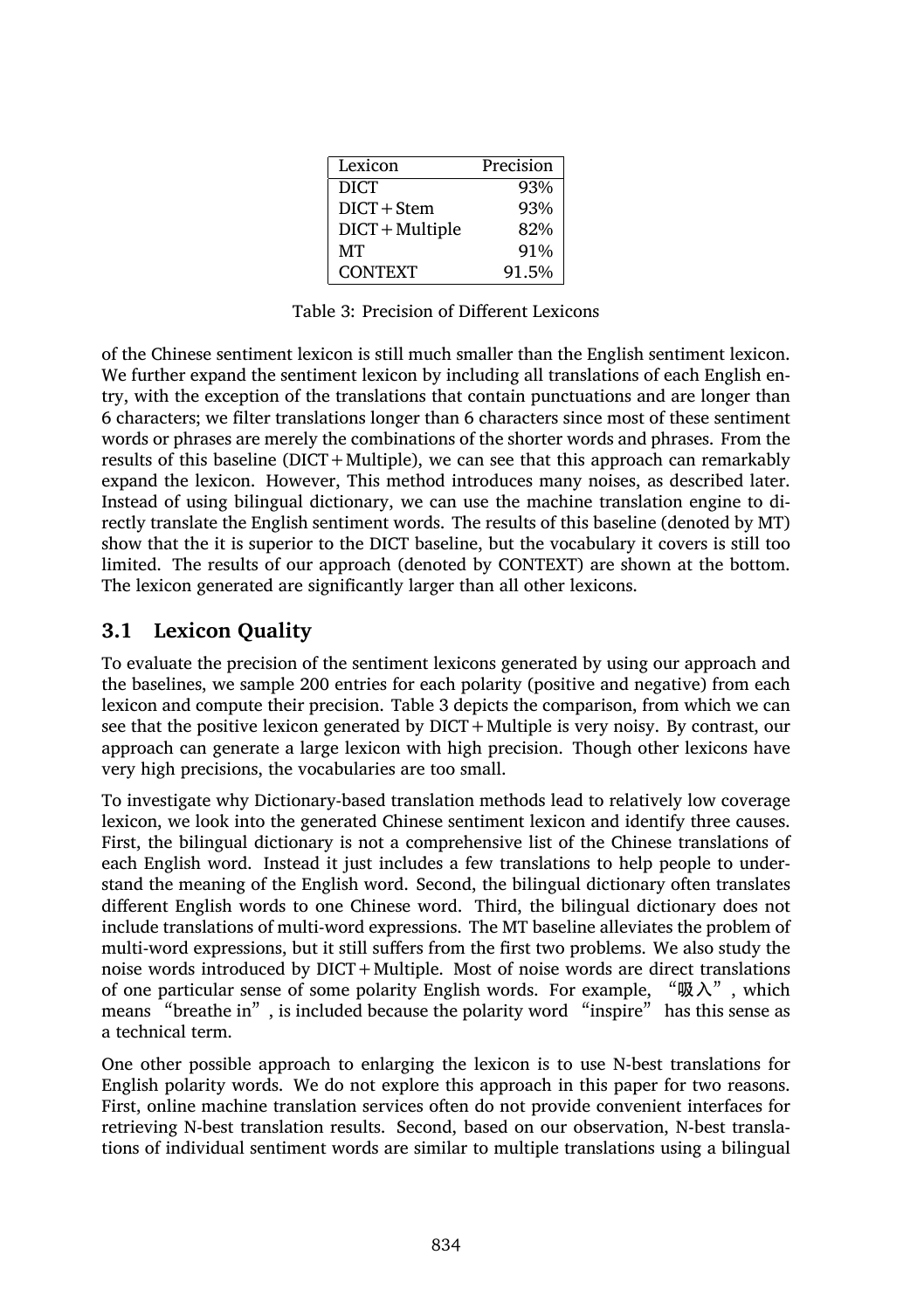| Lexicon           | Precision |
|-------------------|-----------|
| <b>DICT</b>       | 93%       |
| $DICT + Stem$     | 93%       |
| $DICT + Multiple$ | 82%       |
| MT                | 91%       |
| <b>CONTEXT</b>    | 91.5%     |

Table 3: Precision of Diferent Lexicons

of the Chinese sentiment lexicon is still much smaller than the English sentiment lexicon. We further expand the sentiment lexicon by including all translations of each English entry, with the exception of the translations that contain punctuations and are longer than 6 characters; we ilter translations longer than 6 characters since most of these sentiment words or phrases are merely the combinations of the shorter words and phrases. From the results of this baseline (DICT+Multiple), we can see that this approach can remarkably expand the lexicon. However, This method introduces many noises, as described later. Instead of using bilingual dictionary, we can use the machine translation engine to directly translate the English sentiment words. The results of this baseline (denoted by MT) show that the it is superior to the DICT baseline, but the vocabulary it covers is still too limited. The results of our approach (denoted by CONTEXT) are shown at the bottom. The lexicon generated are significantly larger than all other lexicons.

#### **3.1 Lexicon Quality**

To evaluate the precision of the sentiment lexicons generated by using our approach and the baselines, we sample 200 entries for each polarity (positive and negative) from each lexicon and compute their precision. Table 3 depicts the comparison, from which we can see that the positive lexicon generated by DICT+Multiple is very noisy. By contrast, our approach can generate a large lexicon with high precision. Though other lexicons have very high precisions, the vocabularies are too small.

To investigate why Dictionary-based translation methods lead to relatively low coverage lexicon, we look into the generated Chinese sentiment lexicon and identify three causes. First, the bilingual dictionary is not a comprehensive list of the Chinese translations of each English word. Instead it just includes a few translations to help people to understand the meaning of the English word. Second, the bilingual dictionary often translates diferent English words to one Chinese word. Third, the bilingual dictionary does not include translations of multi-word expressions. The MT baseline alleviates the problem of multi-word expressions, but it still sufers from the irst two problems. We also study the noise words introduced by  $DICT+Multiple$ . Most of noise words are direct translations of one particular sense of some polarity English words. For example, "吸入", which means "breathe in", is included because the polarity word "inspire" has this sense as a technical term.

One other possible approach to enlarging the lexicon is to use N-best translations for English polarity words. We do not explore this approach in this paper for two reasons. First, online machine translation services often do not provide convenient interfaces for retrieving N-best translation results. Second, based on our observation, N-best translations of individual sentiment words are similar to multiple translations using a bilingual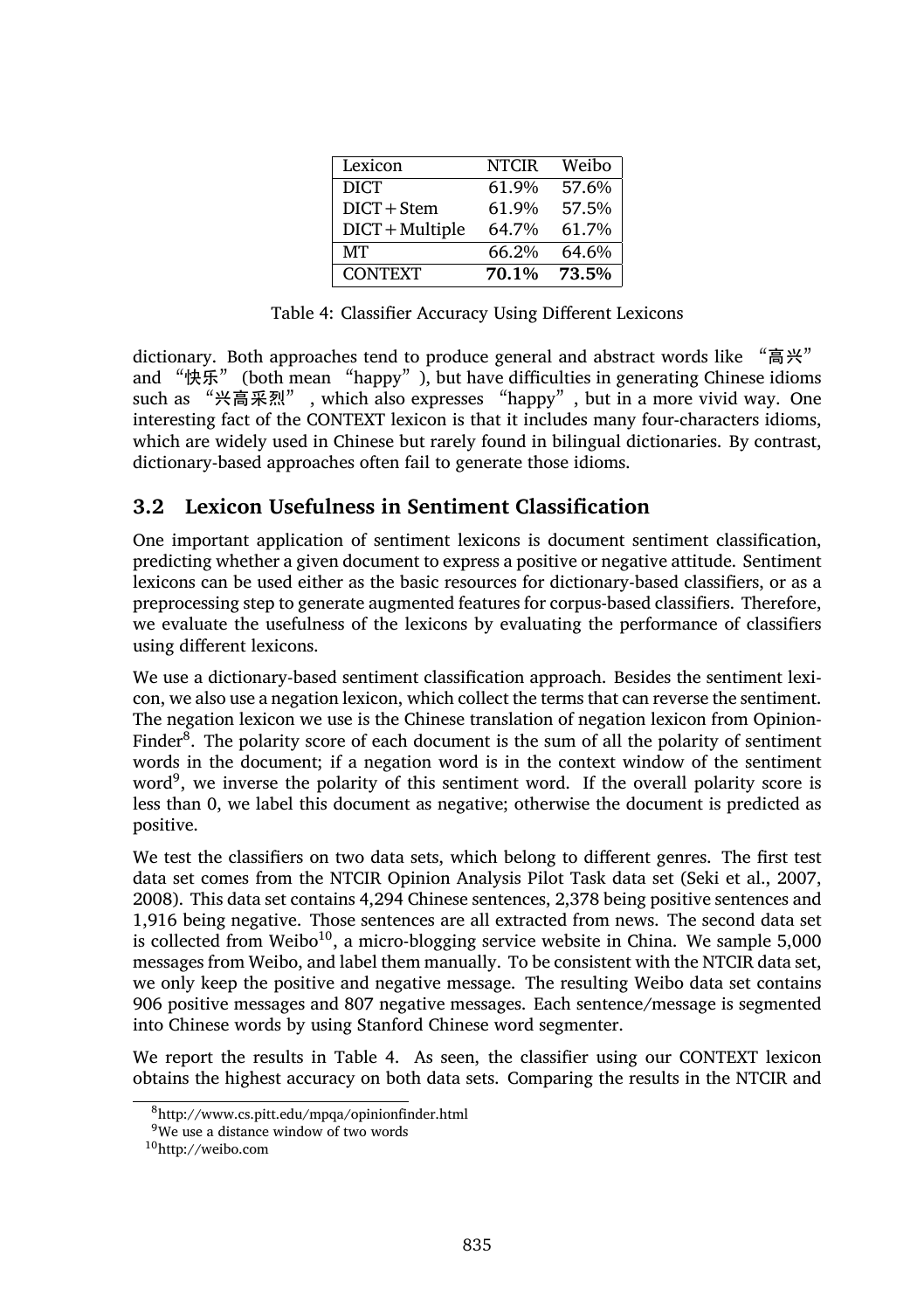| Lexicon           | <b>NTCIR</b> | Weibo |
|-------------------|--------------|-------|
| <b>DICT</b>       | 61.9%        | 57.6% |
| $DICT + Stem$     | 61.9%        | 57.5% |
| $DICT + Multiple$ | 64.7%        | 61.7% |
| MТ                | 66.2%        | 64.6% |
| <b>CONTEXT</b>    | 70.1%        | 73.5% |

Table 4: Classifier Accuracy Using Different Lexicons

dictionary. Both approaches tend to produce general and abstract words like "高兴" and "快乐" (both mean "happy"), but have difficulties in generating Chinese idioms such as "兴高采烈" , which also expresses "happy", but in a more vivid way. One interesting fact of the CONTEXT lexicon is that it includes many four-characters idioms, which are widely used in Chinese but rarely found in bilingual dictionaries. By contrast, dictionary-based approaches often fail to generate those idioms.

# **3.2 Lexicon Usefulness in Sentiment Classiication**

One important application of sentiment lexicons is document sentiment classiication, predicting whether a given document to express a positive or negative attitude. Sentiment lexicons can be used either as the basic resources for dictionary-based classiiers, or as a preprocessing step to generate augmented features for corpus-based classiiers. Therefore, we evaluate the usefulness of the lexicons by evaluating the performance of classiiers using diferent lexicons.

We use a dictionary-based sentiment classification approach. Besides the sentiment lexicon, we also use a negation lexicon, which collect the terms that can reverse the sentiment. The negation lexicon we use is the Chinese translation of negation lexicon from Opinion-Finder<sup>8</sup>. The polarity score of each document is the sum of all the polarity of sentiment words in the document; if a negation word is in the context window of the sentiment word<sup>9</sup>, we inverse the polarity of this sentiment word. If the overall polarity score is less than 0, we label this document as negative; otherwise the document is predicted as positive.

We test the classifiers on two data sets, which belong to different genres. The first test data set comes from the NTCIR Opinion Analysis Pilot Task data set (Seki et al., 2007, 2008). This data set contains 4,294 Chinese sentences, 2,378 being positive sentences and 1,916 being negative. Those sentences are all extracted from news. The second data set is collected from Weibo<sup>10</sup>, a micro-blogging service website in China. We sample  $5,000$ messages from Weibo, and label them manually. To be consistent with the NTCIR data set, we only keep the positive and negative message. The resulting Weibo data set contains 906 positive messages and 807 negative messages. Each sentence/message is segmented into Chinese words by using Stanford Chinese word segmenter.

We report the results in Table 4. As seen, the classifier using our CONTEXT lexicon obtains the highest accuracy on both data sets. Comparing the results in the NTCIR and

<sup>8</sup>http://www.cs.pitt.edu/mpqa/opinioninder.html

<sup>&</sup>lt;sup>9</sup>We use a distance window of two words

<sup>10</sup>http://weibo.com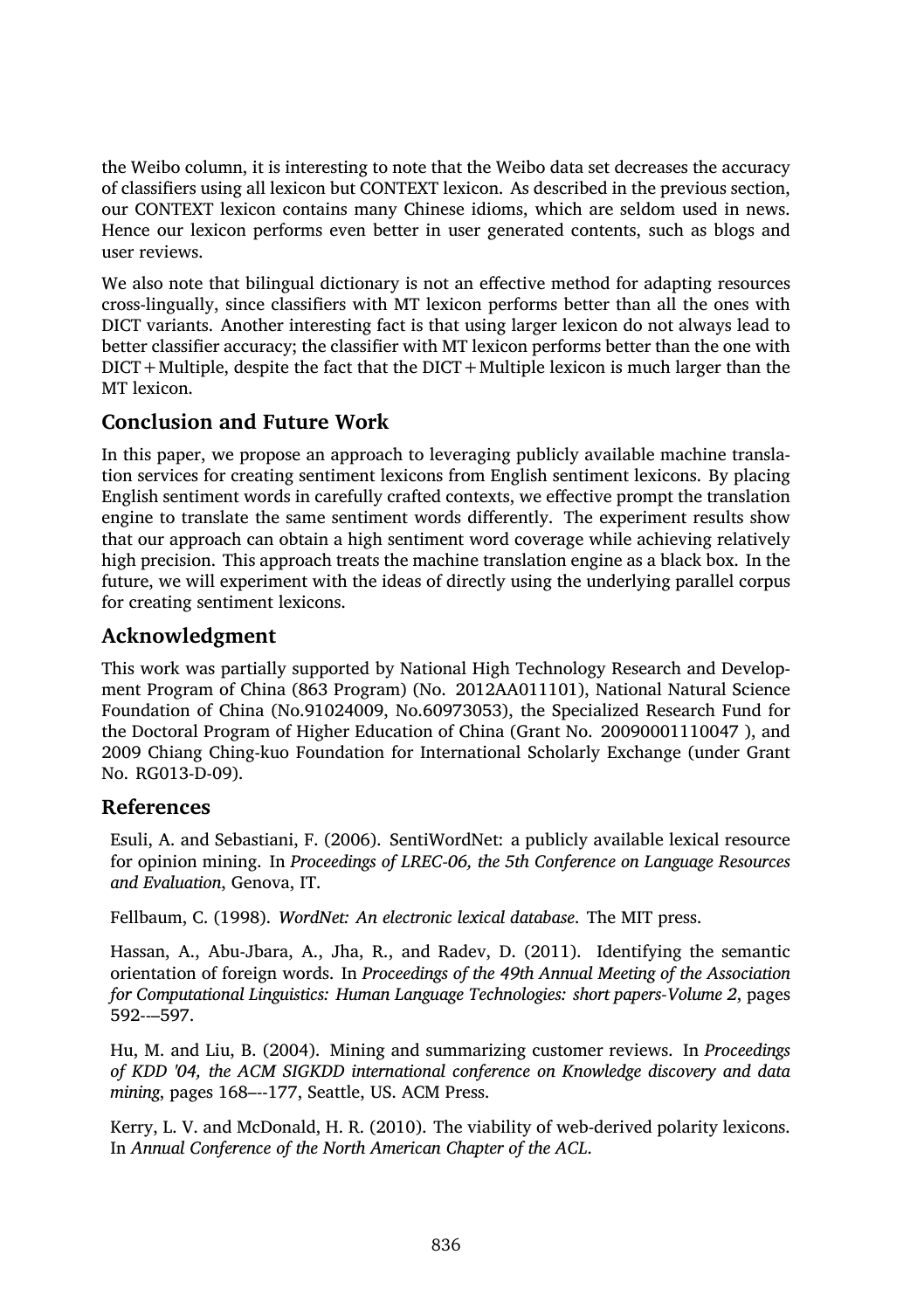the Weibo column, it is interesting to note that the Weibo data set decreases the accuracy of classiiers using all lexicon but CONTEXT lexicon. As described in the previous section, our CONTEXT lexicon contains many Chinese idioms, which are seldom used in news. Hence our lexicon performs even better in user generated contents, such as blogs and user reviews.

We also note that bilingual dictionary is not an efective method for adapting resources cross-lingually, since classiiers with MT lexicon performs better than all the ones with DICT variants. Another interesting fact is that using larger lexicon do not always lead to better classifier accuracy; the classifier with MT lexicon performs better than the one with  $DICT+Multiple$ , despite the fact that the  $DICT+Multiple$  lexicon is much larger than the MT lexicon.

#### **Conclusion and Future Work**

In this paper, we propose an approach to leveraging publicly available machine translation services for creating sentiment lexicons from English sentiment lexicons. By placing English sentiment words in carefully crafted contexts, we efective prompt the translation engine to translate the same sentiment words diferently. The experiment results show that our approach can obtain a high sentiment word coverage while achieving relatively high precision. This approach treats the machine translation engine as a black box. In the future, we will experiment with the ideas of directly using the underlying parallel corpus for creating sentiment lexicons.

#### **Acknowledgment**

This work was partially supported by National High Technology Research and Development Program of China (863 Program) (No. 2012AA011101), National Natural Science Foundation of China (No.91024009, No.60973053), the Specialized Research Fund for the Doctoral Program of Higher Education of China (Grant No. 20090001110047 ), and 2009 Chiang Ching-kuo Foundation for International Scholarly Exchange (under Grant No. RG013-D-09).

#### **References**

Esuli, A. and Sebastiani, F. (2006). SentiWordNet: a publicly available lexical resource for opinion mining. In *Proceedings of LREC-06, the 5th Conference on Language Resources and Evaluation*, Genova, IT.

Fellbaum, C. (1998). *WordNet: An electronic lexical database*. The MIT press.

Hassan, A., Abu-Jbara, A., Jha, R., and Radev, D. (2011). Identifying the semantic orientation of foreign words. In *Proceedings of the 49th Annual Meeting of the Association for Computational Linguistics: Human Language Technologies: short papers-Volume 2*, pages 592--–597.

Hu, M. and Liu, B. (2004). Mining and summarizing customer reviews. In *Proceedings of KDD '04, the ACM SIGKDD international conference on Knowledge discovery and data mining*, pages 168–--177, Seattle, US. ACM Press.

Kerry, L. V. and McDonald, H. R. (2010). The viability of web-derived polarity lexicons. In *Annual Conference of the North American Chapter of the ACL*.